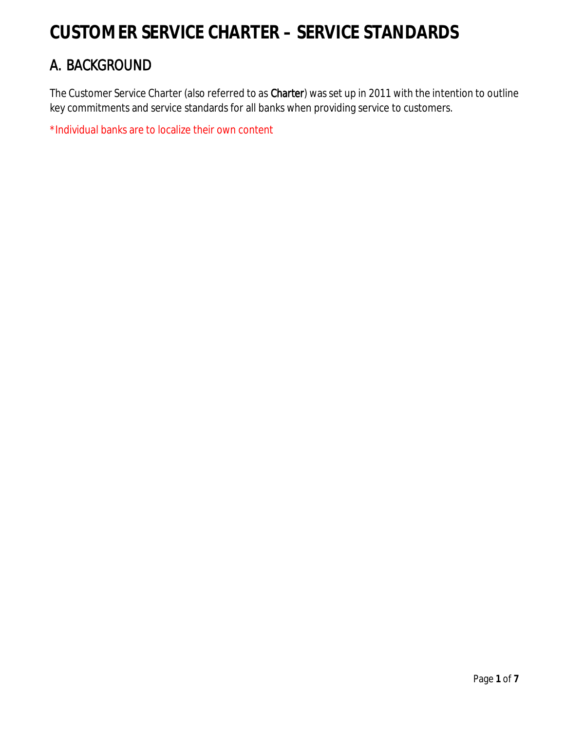# **CUSTOMER SERVICE CHARTER – SERVICE STANDARDS**

# A. BACKGROUND

The Customer Service Charter (also referred to as Charter) was set up in 2011 with the intention to outline key commitments and service standards for all banks when providing service to customers.

\*Individual banks are to localize their own content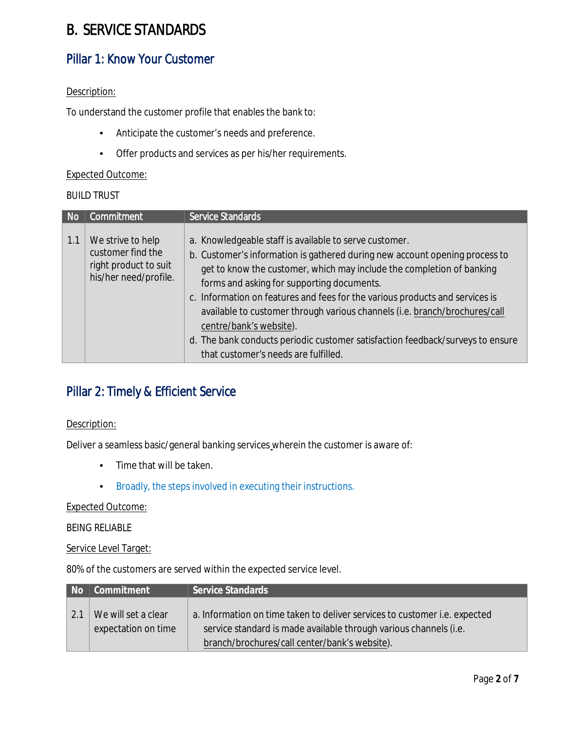# B. SERVICE STANDARDS

## Pillar 1: Know Your Customer

### Description:

To understand the customer profile that enables the bank to:

- Anticipate the customer's needs and preference.
- Offer products and services as per his/her requirements.

### Expected Outcome:

### BUILD TRUST

| <b>No</b> | Commitment                                                                               | <b>Service Standards</b>                                                                                                                                                                                                                                                                                                                                                                                                                                                                                                                                                        |  |
|-----------|------------------------------------------------------------------------------------------|---------------------------------------------------------------------------------------------------------------------------------------------------------------------------------------------------------------------------------------------------------------------------------------------------------------------------------------------------------------------------------------------------------------------------------------------------------------------------------------------------------------------------------------------------------------------------------|--|
| 1.1       | We strive to help<br>customer find the<br>right product to suit<br>his/her need/profile. | a. Knowledgeable staff is available to serve customer.<br>b. Customer's information is gathered during new account opening process to<br>get to know the customer, which may include the completion of banking<br>forms and asking for supporting documents.<br>c. Information on features and fees for the various products and services is<br>available to customer through various channels (i.e. branch/brochures/call<br>centre/bank's website).<br>d. The bank conducts periodic customer satisfaction feedback/surveys to ensure<br>that customer's needs are fulfilled. |  |

## Pillar 2: Timely & Efficient Service

### Description:

Deliver a seamless basic/general banking services wherein the customer is aware of:

- Time that will be taken.
- Broadly, the steps involved in executing their instructions.

#### Expected Outcome:

### BEING RELIABLE

#### Service Level Target:

80% of the customers are served within the expected service level.

| No.               | Commitment                                 | Service Standards                                                                                                                                                                                |  |
|-------------------|--------------------------------------------|--------------------------------------------------------------------------------------------------------------------------------------------------------------------------------------------------|--|
| $\vert 2.1 \vert$ | We will set a clear<br>expectation on time | a. Information on time taken to deliver services to customer i.e. expected<br>service standard is made available through various channels (i.e.<br>branch/brochures/call center/bank's website). |  |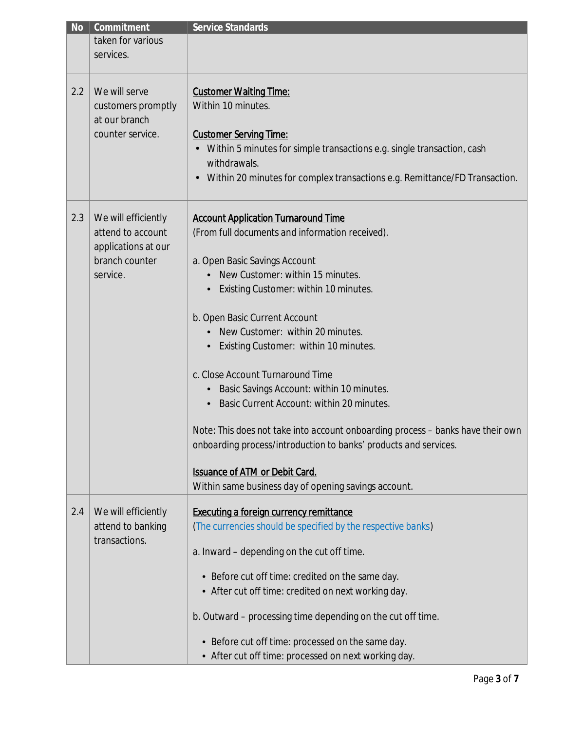| <b>No</b> | Commitment                            | <b>Service Standards</b>                                                        |
|-----------|---------------------------------------|---------------------------------------------------------------------------------|
|           | taken for various                     |                                                                                 |
|           | services.                             |                                                                                 |
|           |                                       |                                                                                 |
|           |                                       |                                                                                 |
| 2.2       | We will serve                         | <b>Customer Waiting Time:</b>                                                   |
|           | customers promptly                    | Within 10 minutes.                                                              |
|           | at our branch                         |                                                                                 |
|           | counter service.                      | <b>Customer Serving Time:</b>                                                   |
|           |                                       | Within 5 minutes for simple transactions e.g. single transaction, cash          |
|           |                                       | withdrawals.                                                                    |
|           |                                       | Within 20 minutes for complex transactions e.g. Remittance/FD Transaction.<br>٠ |
|           |                                       |                                                                                 |
| 2.3       | We will efficiently                   | <b>Account Application Turnaround Time</b>                                      |
|           | attend to account                     | (From full documents and information received).                                 |
|           |                                       |                                                                                 |
|           | applications at our<br>branch counter |                                                                                 |
|           |                                       | a. Open Basic Savings Account                                                   |
|           | service.                              | New Customer: within 15 minutes.                                                |
|           |                                       | Existing Customer: within 10 minutes.                                           |
|           |                                       | b. Open Basic Current Account                                                   |
|           |                                       | New Customer: within 20 minutes.                                                |
|           |                                       | Existing Customer: within 10 minutes.                                           |
|           |                                       |                                                                                 |
|           |                                       | c. Close Account Turnaround Time                                                |
|           |                                       |                                                                                 |
|           |                                       | Basic Savings Account: within 10 minutes.<br>$\bullet$                          |
|           |                                       | Basic Current Account: within 20 minutes.                                       |
|           |                                       | Note: This does not take into account onboarding process - banks have their own |
|           |                                       | onboarding process/introduction to banks' products and services.                |
|           |                                       | <b>Issuance of ATM or Debit Card.</b>                                           |
|           |                                       | Within same business day of opening savings account.                            |
|           |                                       |                                                                                 |
| 2.4       | We will efficiently                   | <b>Executing a foreign currency remittance</b>                                  |
|           | attend to banking<br>transactions.    | (The currencies should be specified by the respective banks)                    |
|           |                                       | a. Inward - depending on the cut off time.                                      |
|           |                                       |                                                                                 |
|           |                                       | • Before cut off time: credited on the same day.                                |
|           |                                       | • After cut off time: credited on next working day.                             |
|           |                                       | b. Outward – processing time depending on the cut off time.                     |
|           |                                       | • Before cut off time: processed on the same day.                               |
|           |                                       | • After cut off time: processed on next working day.                            |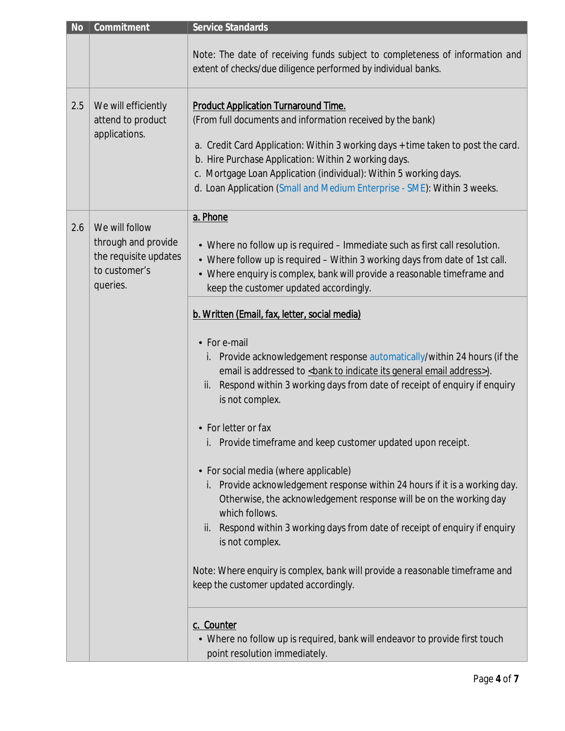| <b>No</b> | Commitment                                                                                  | <b>Service Standards</b>                                                                                                                                                                                                                                                                                                                                                                               |
|-----------|---------------------------------------------------------------------------------------------|--------------------------------------------------------------------------------------------------------------------------------------------------------------------------------------------------------------------------------------------------------------------------------------------------------------------------------------------------------------------------------------------------------|
|           |                                                                                             | Note: The date of receiving funds subject to completeness of information and<br>extent of checks/due diligence performed by individual banks.                                                                                                                                                                                                                                                          |
| 2.5       | We will efficiently<br>attend to product<br>applications.                                   | <b>Product Application Turnaround Time.</b><br>(From full documents and information received by the bank)<br>a. Credit Card Application: Within 3 working days + time taken to post the card.<br>b. Hire Purchase Application: Within 2 working days.<br>c. Mortgage Loan Application (individual): Within 5 working days.<br>d. Loan Application (Small and Medium Enterprise - SME): Within 3 weeks. |
| 2.6       | We will follow<br>through and provide<br>the requisite updates<br>to customer's<br>queries. | a. Phone<br>• Where no follow up is required - Immediate such as first call resolution.<br>• Where follow up is required - Within 3 working days from date of 1st call.<br>• Where enquiry is complex, bank will provide a reasonable timeframe and<br>keep the customer updated accordingly.                                                                                                          |
|           |                                                                                             | b. Written (Email, fax, letter, social media)<br>• For e-mail<br>i. Provide acknowledgement response automatically/within 24 hours (if the<br>email is addressed to<br>bank to indicate its general email address>).<br>ii. Respond within 3 working days from date of receipt of enquiry if enquiry<br>is not complex.<br>                                                                            |
|           |                                                                                             | point resolution immediately.                                                                                                                                                                                                                                                                                                                                                                          |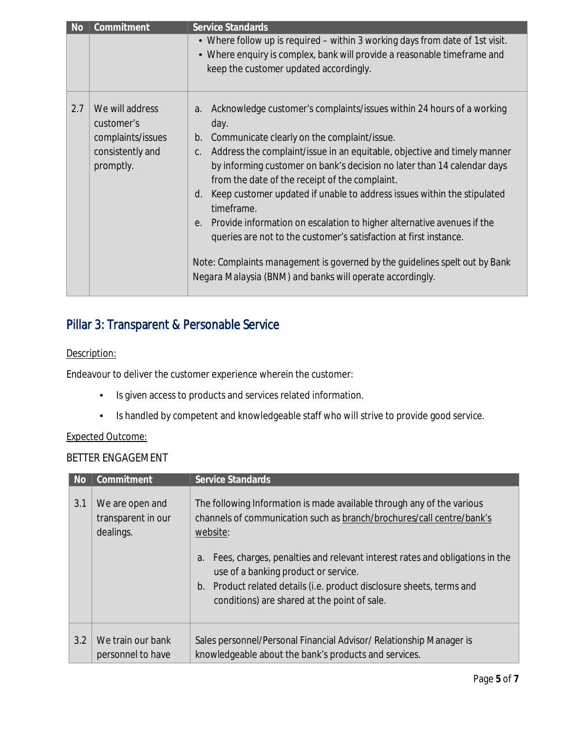| <b>No</b> | Commitment                                                                          | <b>Service Standards</b>                                                                                                                                                                                                                                                                                                                                                                                                                                                                                                                                                                                                                                                                                                                                         |  |
|-----------|-------------------------------------------------------------------------------------|------------------------------------------------------------------------------------------------------------------------------------------------------------------------------------------------------------------------------------------------------------------------------------------------------------------------------------------------------------------------------------------------------------------------------------------------------------------------------------------------------------------------------------------------------------------------------------------------------------------------------------------------------------------------------------------------------------------------------------------------------------------|--|
|           |                                                                                     | • Where follow up is required - within 3 working days from date of 1st visit.<br>• Where enquiry is complex, bank will provide a reasonable timeframe and<br>keep the customer updated accordingly.                                                                                                                                                                                                                                                                                                                                                                                                                                                                                                                                                              |  |
| 2.7       | We will address<br>customer's<br>complaints/issues<br>consistently and<br>promptly. | Acknowledge customer's complaints/issues within 24 hours of a working<br>a.<br>day.<br>Communicate clearly on the complaint/issue.<br>b.<br>Address the complaint/issue in an equitable, objective and timely manner<br>C.<br>by informing customer on bank's decision no later than 14 calendar days<br>from the date of the receipt of the complaint.<br>Keep customer updated if unable to address issues within the stipulated<br>$d_{\cdot}$<br>timeframe.<br>Provide information on escalation to higher alternative avenues if the<br>e.<br>queries are not to the customer's satisfaction at first instance.<br>Note: Complaints management is governed by the guidelines spelt out by Bank<br>Negara Malaysia (BNM) and banks will operate accordingly. |  |

## Pillar 3: Transparent & Personable Service

### Description:

Endeavour to deliver the customer experience wherein the customer:

- Is given access to products and services related information.
- Is handled by competent and knowledgeable staff who will strive to provide good service.

### Expected Outcome:

### BETTER ENGAGEMENT

| <b>No</b> | Commitment                                         | Service Standards                                                                                                                                                                                                                                                                                                                                                                                                             |
|-----------|----------------------------------------------------|-------------------------------------------------------------------------------------------------------------------------------------------------------------------------------------------------------------------------------------------------------------------------------------------------------------------------------------------------------------------------------------------------------------------------------|
| 3.1       | We are open and<br>transparent in our<br>dealings. | The following Information is made available through any of the various<br>channels of communication such as branch/brochures/call centre/bank's<br>website:<br>Fees, charges, penalties and relevant interest rates and obligations in the<br>a.<br>use of a banking product or service.<br>Product related details (i.e. product disclosure sheets, terms and<br>$b_{\cdot}$<br>conditions) are shared at the point of sale. |
| 3.2       | We train our bank<br>personnel to have             | Sales personnel/Personal Financial Advisor/ Relationship Manager is<br>knowledgeable about the bank's products and services.                                                                                                                                                                                                                                                                                                  |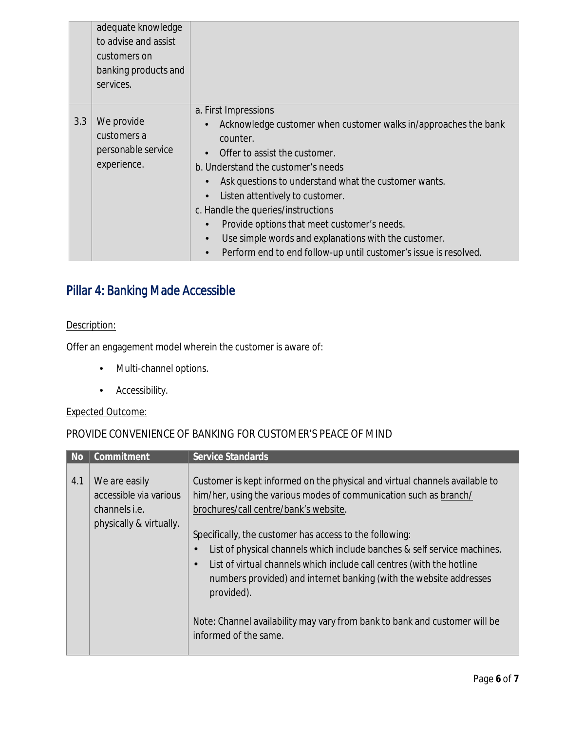|     | adequate knowledge<br>to advise and assist<br>customers on<br>banking products and<br>services. |                                                                                                                                                                                                                                                                                                                                                                                                                                                                                                                  |
|-----|-------------------------------------------------------------------------------------------------|------------------------------------------------------------------------------------------------------------------------------------------------------------------------------------------------------------------------------------------------------------------------------------------------------------------------------------------------------------------------------------------------------------------------------------------------------------------------------------------------------------------|
| 3.3 | We provide<br>customers a<br>personable service<br>experience.                                  | a. First Impressions<br>Acknowledge customer when customer walks in/approaches the bank<br>$\bullet$<br>counter.<br>Offer to assist the customer.<br>b. Understand the customer's needs<br>Ask questions to understand what the customer wants.<br>Listen attentively to customer.<br>$\bullet$<br>c. Handle the queries/instructions<br>Provide options that meet customer's needs.<br>Use simple words and explanations with the customer.<br>Perform end to end follow-up until customer's issue is resolved. |

## Pillar 4: Banking Made Accessible

### Description:

Offer an engagement model wherein the customer is aware of:

- Multi-channel options.
- Accessibility.

### Expected Outcome:

### PROVIDE CONVENIENCE OF BANKING FOR CUSTOMER'S PEACE OF MIND

| 4.1                                                                                                                                                                                                                                                                                                                                                                                                                                                                                                                                                                                                                                                                                                                                    |  |
|----------------------------------------------------------------------------------------------------------------------------------------------------------------------------------------------------------------------------------------------------------------------------------------------------------------------------------------------------------------------------------------------------------------------------------------------------------------------------------------------------------------------------------------------------------------------------------------------------------------------------------------------------------------------------------------------------------------------------------------|--|
| Customer is kept informed on the physical and virtual channels available to<br>We are easily<br>him/her, using the various modes of communication such as branch/<br>accessible via various<br>brochures/call centre/bank's website.<br>channels <i>i.e.</i><br>physically & virtually.<br>Specifically, the customer has access to the following:<br>List of physical channels which include banches & self service machines.<br>$\blacksquare$<br>List of virtual channels which include call centres (with the hotline<br>$\blacksquare$<br>numbers provided) and internet banking (with the website addresses<br>provided).<br>Note: Channel availability may vary from bank to bank and customer will be<br>informed of the same. |  |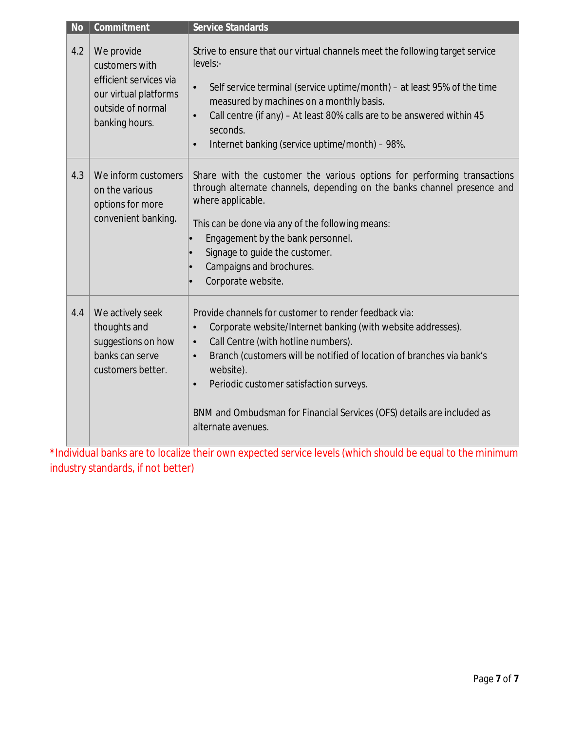| <b>No</b> | Commitment                                                                                                             | <b>Service Standards</b>                                                                                                                                                                                                                                                                                                                                                                                                                          |
|-----------|------------------------------------------------------------------------------------------------------------------------|---------------------------------------------------------------------------------------------------------------------------------------------------------------------------------------------------------------------------------------------------------------------------------------------------------------------------------------------------------------------------------------------------------------------------------------------------|
| 4.2       | We provide<br>customers with<br>efficient services via<br>our virtual platforms<br>outside of normal<br>banking hours. | Strive to ensure that our virtual channels meet the following target service<br>levels:-<br>Self service terminal (service uptime/month) – at least 95% of the time<br>$\bullet$<br>measured by machines on a monthly basis.<br>Call centre (if any) - At least 80% calls are to be answered within 45<br>$\bullet$<br>seconds.<br>Internet banking (service uptime/month) - 98%.<br>$\bullet$                                                    |
| 4.3       | We inform customers<br>on the various<br>options for more<br>convenient banking.                                       | Share with the customer the various options for performing transactions<br>through alternate channels, depending on the banks channel presence and<br>where applicable.<br>This can be done via any of the following means:<br>Engagement by the bank personnel.<br>$\bullet$<br>Signage to guide the customer.<br>Campaigns and brochures.<br>Corporate website.                                                                                 |
| 4.4       | We actively seek<br>thoughts and<br>suggestions on how<br>banks can serve<br>customers better.                         | Provide channels for customer to render feedback via:<br>Corporate website/Internet banking (with website addresses).<br>$\bullet$<br>Call Centre (with hotline numbers).<br>$\bullet$<br>Branch (customers will be notified of location of branches via bank's<br>$\bullet$<br>website).<br>Periodic customer satisfaction surveys.<br>$\bullet$<br>BNM and Ombudsman for Financial Services (OFS) details are included as<br>alternate avenues. |

\*Individual banks are to localize their own expected service levels (which should be equal to the minimum industry standards, if not better)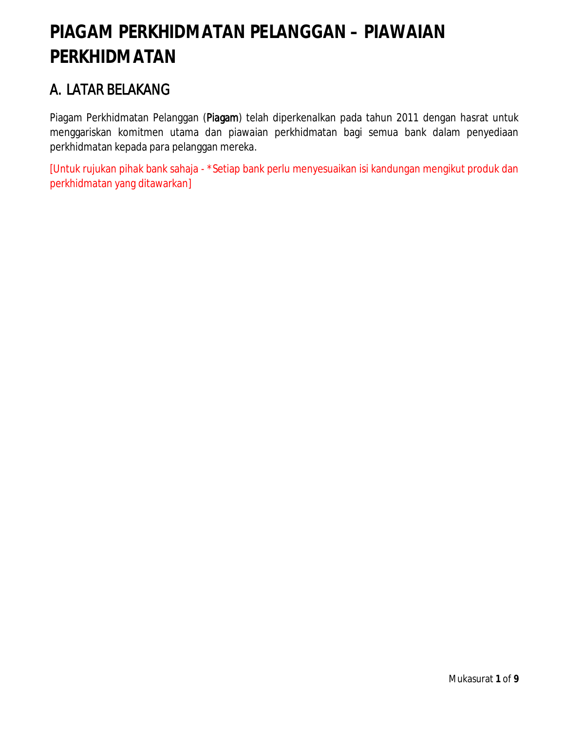# **PIAGAM PERKHIDMATAN PELANGGAN – PIAWAIAN PERKHIDMATAN**

# A. LATAR BELAKANG

Piagam Perkhidmatan Pelanggan (Piagam) telah diperkenalkan pada tahun 2011 dengan hasrat untuk menggariskan komitmen utama dan piawaian perkhidmatan bagi semua bank dalam penyediaan perkhidmatan kepada para pelanggan mereka.

[Untuk rujukan pihak bank sahaja - \*Setiap bank perlu menyesuaikan isi kandungan mengikut produk dan perkhidmatan yang ditawarkan]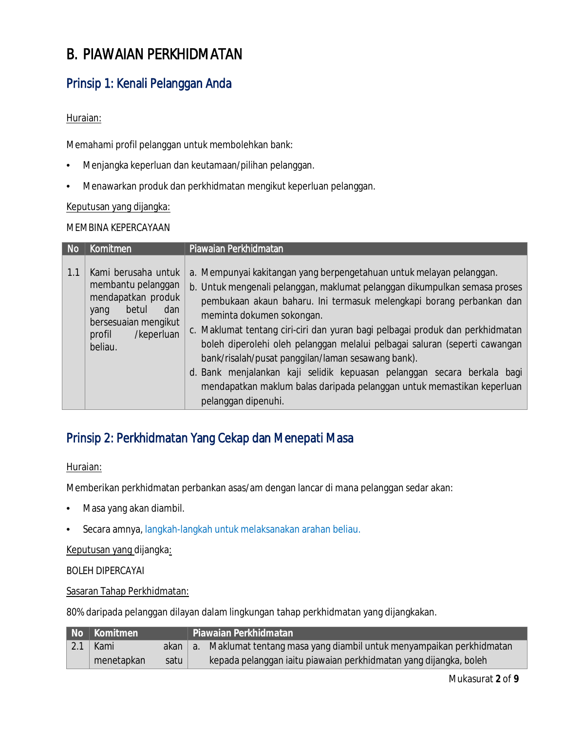# B. PIAWAIAN PERKHIDMATAN

## Prinsip 1: Kenali Pelanggan Anda

### Huraian:

Memahami profil pelanggan untuk membolehkan bank:

- Menjangka keperluan dan keutamaan/pilihan pelanggan.
- Menawarkan produk dan perkhidmatan mengikut keperluan pelanggan.

### Keputusan yang dijangka:

### MEMBINA KEPERCAYAAN

| <b>No</b> | Komitmen                                                                                                                                           | Piawaian Perkhidmatan                                                                                                                                                                                                                                                                                                                                                                                                                                                                                                                                                                                                                                    |  |  |  |
|-----------|----------------------------------------------------------------------------------------------------------------------------------------------------|----------------------------------------------------------------------------------------------------------------------------------------------------------------------------------------------------------------------------------------------------------------------------------------------------------------------------------------------------------------------------------------------------------------------------------------------------------------------------------------------------------------------------------------------------------------------------------------------------------------------------------------------------------|--|--|--|
| 1.1       | Kami berusaha untuk<br>membantu pelanggan<br>mendapatkan produk<br>betul<br>dan<br>yang<br>bersesuaian mengikut<br>/keperluan<br>profil<br>beliau. | a. Mempunyai kakitangan yang berpengetahuan untuk melayan pelanggan.<br>b. Untuk mengenali pelanggan, maklumat pelanggan dikumpulkan semasa proses<br>pembukaan akaun baharu. Ini termasuk melengkapi borang perbankan dan<br>meminta dokumen sokongan.<br>c. Maklumat tentang ciri-ciri dan yuran bagi pelbagai produk dan perkhidmatan<br>boleh diperolehi oleh pelanggan melalui pelbagai saluran (seperti cawangan<br>bank/risalah/pusat panggilan/laman sesawang bank).<br>d. Bank menjalankan kaji selidik kepuasan pelanggan secara berkala bagi<br>mendapatkan maklum balas daripada pelanggan untuk memastikan keperluan<br>pelanggan dipenuhi. |  |  |  |

## Prinsip 2: Perkhidmatan Yang Cekap dan Menepati Masa

### Huraian:

Memberikan perkhidmatan perbankan asas/am dengan lancar di mana pelanggan sedar akan:

- Masa yang akan diambil.
- Secara amnya, langkah-langkah untuk melaksanakan arahan beliau.

### Keputusan yang dijangka:

BOLEH DIPERCAYAI

Sasaran Tahap Perkhidmatan:

80% daripada pelanggan dilayan dalam lingkungan tahap perkhidmatan yang dijangkakan.

|             | No   Komitmen |      | Piawaian Perkhidmatan                                                        |
|-------------|---------------|------|------------------------------------------------------------------------------|
| $\vert$ 2.1 | Kami          |      | akan   a. Maklumat tentang masa yang diambil untuk menyampaikan perkhidmatan |
|             | menetapkan    | satu | kepada pelanggan iaitu piawaian perkhidmatan yang dijangka, boleh            |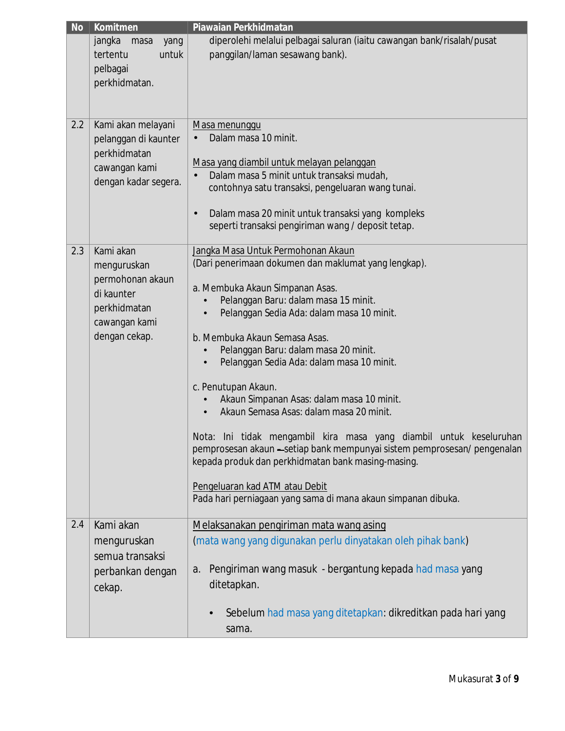| <b>No</b> | Komitmen               | Piawaian Perkhidmatan                                                                                                                          |  |  |  |
|-----------|------------------------|------------------------------------------------------------------------------------------------------------------------------------------------|--|--|--|
|           | jangka<br>masa<br>yang | diperolehi melalui pelbagai saluran (iaitu cawangan bank/risalah/pusat                                                                         |  |  |  |
|           | tertentu<br>untuk      | panggilan/laman sesawang bank).                                                                                                                |  |  |  |
|           | pelbagai               |                                                                                                                                                |  |  |  |
|           | perkhidmatan.          |                                                                                                                                                |  |  |  |
|           |                        |                                                                                                                                                |  |  |  |
|           |                        |                                                                                                                                                |  |  |  |
| 2.2       | Kami akan melayani     | Masa menunggu                                                                                                                                  |  |  |  |
|           | pelanggan di kaunter   | Dalam masa 10 minit.                                                                                                                           |  |  |  |
|           | perkhidmatan           |                                                                                                                                                |  |  |  |
|           | cawangan kami          | Masa yang diambil untuk melayan pelanggan                                                                                                      |  |  |  |
|           | dengan kadar segera.   | Dalam masa 5 minit untuk transaksi mudah,                                                                                                      |  |  |  |
|           |                        | contohnya satu transaksi, pengeluaran wang tunai.                                                                                              |  |  |  |
|           |                        | Dalam masa 20 minit untuk transaksi yang kompleks                                                                                              |  |  |  |
|           |                        | seperti transaksi pengiriman wang / deposit tetap.                                                                                             |  |  |  |
|           |                        |                                                                                                                                                |  |  |  |
| 2.3       | Kami akan              | Jangka Masa Untuk Permohonan Akaun                                                                                                             |  |  |  |
|           | menguruskan            | (Dari penerimaan dokumen dan maklumat yang lengkap).                                                                                           |  |  |  |
|           | permohonan akaun       |                                                                                                                                                |  |  |  |
|           | di kaunter             | a. Membuka Akaun Simpanan Asas.                                                                                                                |  |  |  |
|           | perkhidmatan           | Pelanggan Baru: dalam masa 15 minit.                                                                                                           |  |  |  |
|           | cawangan kami          | Pelanggan Sedia Ada: dalam masa 10 minit.                                                                                                      |  |  |  |
|           | dengan cekap.          | b. Membuka Akaun Semasa Asas.                                                                                                                  |  |  |  |
|           |                        | Pelanggan Baru: dalam masa 20 minit.                                                                                                           |  |  |  |
|           |                        | Pelanggan Sedia Ada: dalam masa 10 minit.                                                                                                      |  |  |  |
|           |                        |                                                                                                                                                |  |  |  |
|           |                        | c. Penutupan Akaun.                                                                                                                            |  |  |  |
|           |                        | Akaun Simpanan Asas: dalam masa 10 minit.                                                                                                      |  |  |  |
|           |                        | Akaun Semasa Asas: dalam masa 20 minit.                                                                                                        |  |  |  |
|           |                        |                                                                                                                                                |  |  |  |
|           |                        | Nota: Ini tidak mengambil kira masa yang diambil untuk keseluruhan<br>pemprosesan akaun - setiap bank mempunyai sistem pemprosesan/ pengenalan |  |  |  |
|           |                        | kepada produk dan perkhidmatan bank masing-masing.                                                                                             |  |  |  |
|           |                        |                                                                                                                                                |  |  |  |
|           |                        | Pengeluaran kad ATM atau Debit                                                                                                                 |  |  |  |
|           |                        | Pada hari perniagaan yang sama di mana akaun simpanan dibuka.                                                                                  |  |  |  |
|           |                        |                                                                                                                                                |  |  |  |
| 2.4       | Kami akan              | Melaksanakan pengiriman mata wang asing                                                                                                        |  |  |  |
|           | menguruskan            | (mata wang yang digunakan perlu dinyatakan oleh pihak bank)                                                                                    |  |  |  |
|           | semua transaksi        |                                                                                                                                                |  |  |  |
|           | perbankan dengan       | Pengiriman wang masuk - bergantung kepada had masa yang<br>а.                                                                                  |  |  |  |
|           | cekap.                 | ditetapkan.                                                                                                                                    |  |  |  |
|           |                        |                                                                                                                                                |  |  |  |
|           |                        | Sebelum had masa yang ditetapkan: dikreditkan pada hari yang                                                                                   |  |  |  |
|           |                        | sama.                                                                                                                                          |  |  |  |
|           |                        |                                                                                                                                                |  |  |  |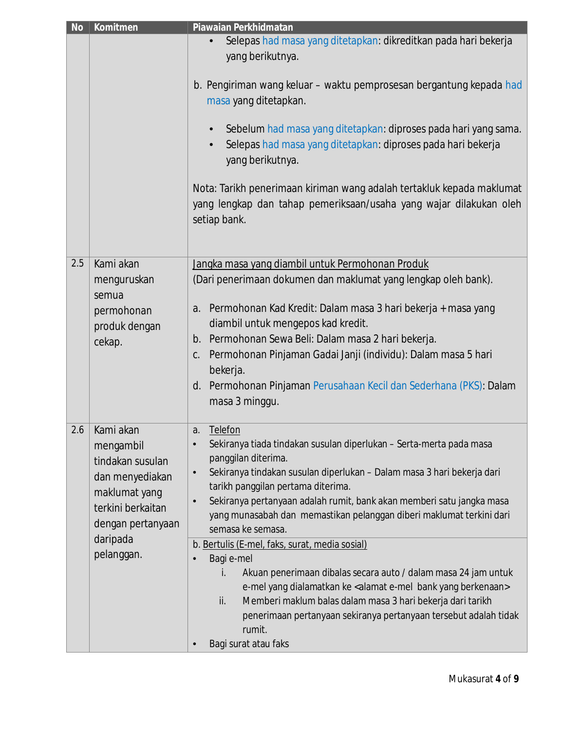| <b>No</b> | Komitmen                                            | Piawaian Perkhidmatan                                                                                                                                            |
|-----------|-----------------------------------------------------|------------------------------------------------------------------------------------------------------------------------------------------------------------------|
|           |                                                     | Selepas had masa yang ditetapkan: dikreditkan pada hari bekerja<br>yang berikutnya.                                                                              |
|           |                                                     | b. Pengiriman wang keluar - waktu pemprosesan bergantung kepada had<br>masa yang ditetapkan.                                                                     |
|           |                                                     | Sebelum had masa yang ditetapkan: diproses pada hari yang sama.<br>$\bullet$<br>Selepas had masa yang ditetapkan: diproses pada hari bekerja<br>yang berikutnya. |
|           |                                                     | Nota: Tarikh penerimaan kiriman wang adalah tertakluk kepada maklumat<br>yang lengkap dan tahap pemeriksaan/usaha yang wajar dilakukan oleh<br>setiap bank.      |
| 2.5       | Kami akan                                           | Jangka masa yang diambil untuk Permohonan Produk                                                                                                                 |
|           | menguruskan<br>semua<br>permohonan<br>produk dengan | (Dari penerimaan dokumen dan maklumat yang lengkap oleh bank).                                                                                                   |
|           |                                                     | a. Permohonan Kad Kredit: Dalam masa 3 hari bekerja + masa yang                                                                                                  |
|           |                                                     | diambil untuk mengepos kad kredit.                                                                                                                               |
|           | cekap.                                              | b. Permohonan Sewa Beli: Dalam masa 2 hari bekerja.                                                                                                              |
|           |                                                     | Permohonan Pinjaman Gadai Janji (individu): Dalam masa 5 hari<br>C.                                                                                              |
|           |                                                     | bekerja.<br>d. Permohonan Pinjaman Perusahaan Kecil dan Sederhana (PKS): Dalam                                                                                   |
|           |                                                     | masa 3 minggu.                                                                                                                                                   |
| 2.6       | Kami akan<br>mengambil                              | Telefon<br>a.                                                                                                                                                    |
|           |                                                     | Sekiranya tiada tindakan susulan diperlukan - Serta-merta pada masa<br>$\bullet$<br>panggilan diterima.                                                          |
|           | tindakan susulan<br>dan menyediakan                 | Sekiranya tindakan susulan diperlukan - Dalam masa 3 hari bekerja dari<br>$\bullet$                                                                              |
|           | maklumat yang                                       | tarikh panggilan pertama diterima.                                                                                                                               |
|           | terkini berkaitan                                   | Sekiranya pertanyaan adalah rumit, bank akan memberi satu jangka masa<br>$\bullet$<br>yang munasabah dan memastikan pelanggan diberi maklumat terkini dari       |
|           | dengan pertanyaan                                   | semasa ke semasa.                                                                                                                                                |
|           | daripada<br>pelanggan.                              | b. Bertulis (E-mel, faks, surat, media sosial)                                                                                                                   |
|           |                                                     | Bagi e-mel                                                                                                                                                       |
|           |                                                     | Akuan penerimaan dibalas secara auto / dalam masa 24 jam untuk<br>İ.                                                                                             |
|           |                                                     | e-mel yang dialamatkan ke < alamat e-mel bank yang berkenaan><br>Memberi maklum balas dalam masa 3 hari bekerja dari tarikh<br>ii.                               |
|           |                                                     | penerimaan pertanyaan sekiranya pertanyaan tersebut adalah tidak                                                                                                 |
|           |                                                     | rumit.                                                                                                                                                           |
|           |                                                     | Bagi surat atau faks                                                                                                                                             |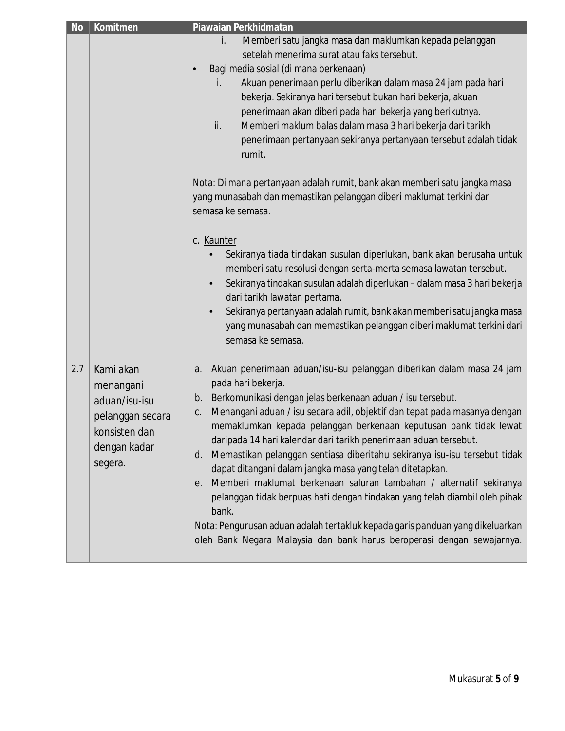| <b>No</b> | Komitmen                                                     | Piawaian Perkhidmatan                                                                 |
|-----------|--------------------------------------------------------------|---------------------------------------------------------------------------------------|
|           |                                                              | Memberi satu jangka masa dan maklumkan kepada pelanggan<br>i.                         |
|           |                                                              | setelah menerima surat atau faks tersebut.                                            |
|           |                                                              | Bagi media sosial (di mana berkenaan)                                                 |
|           |                                                              | Akuan penerimaan perlu diberikan dalam masa 24 jam pada hari<br>İ.                    |
|           |                                                              | bekerja. Sekiranya hari tersebut bukan hari bekerja, akuan                            |
|           |                                                              | penerimaan akan diberi pada hari bekerja yang berikutnya.                             |
|           |                                                              | ii.<br>Memberi maklum balas dalam masa 3 hari bekerja dari tarikh                     |
|           |                                                              | penerimaan pertanyaan sekiranya pertanyaan tersebut adalah tidak                      |
|           |                                                              | rumit.                                                                                |
|           |                                                              | Nota: Di mana pertanyaan adalah rumit, bank akan memberi satu jangka masa             |
|           |                                                              | yang munasabah dan memastikan pelanggan diberi maklumat terkini dari                  |
|           |                                                              | semasa ke semasa.                                                                     |
|           |                                                              |                                                                                       |
|           |                                                              | c. Kaunter                                                                            |
|           |                                                              | Sekiranya tiada tindakan susulan diperlukan, bank akan berusaha untuk                 |
|           |                                                              | memberi satu resolusi dengan serta-merta semasa lawatan tersebut.                     |
|           |                                                              | Sekiranya tindakan susulan adalah diperlukan - dalam masa 3 hari bekerja<br>$\bullet$ |
|           |                                                              | dari tarikh lawatan pertama.                                                          |
|           |                                                              | Sekiranya pertanyaan adalah rumit, bank akan memberi satu jangka masa                 |
|           |                                                              | yang munasabah dan memastikan pelanggan diberi maklumat terkini dari                  |
|           |                                                              | semasa ke semasa.                                                                     |
| 2.7       | Kami akan                                                    | Akuan penerimaan aduan/isu-isu pelanggan diberikan dalam masa 24 jam<br>a.            |
|           | menangani                                                    | pada hari bekerja.                                                                    |
|           | aduan/isu-isu                                                | Berkomunikasi dengan jelas berkenaan aduan / isu tersebut.<br>b.                      |
|           |                                                              | Menangani aduan / isu secara adil, objektif dan tepat pada masanya dengan<br>C.       |
|           | pelanggan secara<br>konsisten dan<br>dengan kadar<br>segera. | memaklumkan kepada pelanggan berkenaan keputusan bank tidak lewat                     |
|           |                                                              | daripada 14 hari kalendar dari tarikh penerimaan aduan tersebut.                      |
|           |                                                              | Memastikan pelanggan sentiasa diberitahu sekiranya isu-isu tersebut tidak<br>d.       |
|           |                                                              | dapat ditangani dalam jangka masa yang telah ditetapkan.                              |
|           |                                                              | Memberi maklumat berkenaan saluran tambahan / alternatif sekiranya<br>е.              |
|           |                                                              | pelanggan tidak berpuas hati dengan tindakan yang telah diambil oleh pihak            |
|           |                                                              | bank.                                                                                 |
|           |                                                              | Nota: Pengurusan aduan adalah tertakluk kepada garis panduan yang dikeluarkan         |
|           |                                                              | oleh Bank Negara Malaysia dan bank harus beroperasi dengan sewajarnya.                |
|           |                                                              |                                                                                       |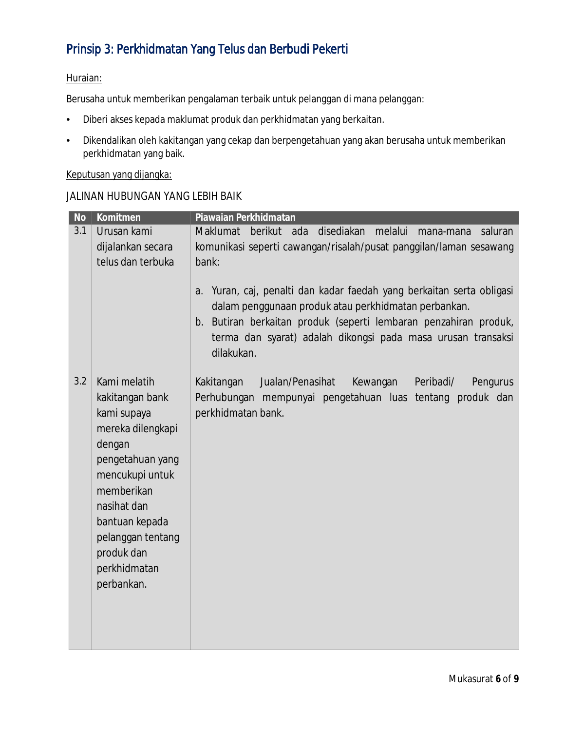## Prinsip 3: Perkhidmatan Yang Telus dan Berbudi Pekerti

### Huraian:

Berusaha untuk memberikan pengalaman terbaik untuk pelanggan di mana pelanggan:

- Diberi akses kepada maklumat produk dan perkhidmatan yang berkaitan.
- Dikendalikan oleh kakitangan yang cekap dan berpengetahuan yang akan berusaha untuk memberikan perkhidmatan yang baik.

### Keputusan yang dijangka:

### JALINAN HUBUNGAN YANG LEBIH BAIK

| <b>No</b> | Komitmen          | Piawaian Perkhidmatan                                                    |
|-----------|-------------------|--------------------------------------------------------------------------|
| 3.1       | Urusan kami       | Maklumat berikut ada<br>disediakan<br>melalui<br>saluran<br>mana-mana    |
|           | dijalankan secara | komunikasi seperti cawangan/risalah/pusat panggilan/laman sesawang       |
|           | telus dan terbuka | bank:                                                                    |
|           |                   |                                                                          |
|           |                   | Yuran, caj, penalti dan kadar faedah yang berkaitan serta obligasi<br>a. |
|           |                   | dalam penggunaan produk atau perkhidmatan perbankan.                     |
|           |                   | b. Butiran berkaitan produk (seperti lembaran penzahiran produk,         |
|           |                   | terma dan syarat) adalah dikongsi pada masa urusan transaksi             |
|           |                   | dilakukan.                                                               |
|           |                   |                                                                          |
| 3.2       | Kami melatih      | Jualan/Penasihat<br>Kakitangan<br>Kewangan<br>Peribadi/<br>Pengurus      |
|           | kakitangan bank   | Perhubungan mempunyai pengetahuan luas tentang produk dan                |
|           | kami supaya       | perkhidmatan bank.                                                       |
|           | mereka dilengkapi |                                                                          |
|           | dengan            |                                                                          |
|           | pengetahuan yang  |                                                                          |
|           | mencukupi untuk   |                                                                          |
|           | memberikan        |                                                                          |
|           | nasihat dan       |                                                                          |
|           | bantuan kepada    |                                                                          |
|           | pelanggan tentang |                                                                          |
|           | produk dan        |                                                                          |
|           | perkhidmatan      |                                                                          |
|           | perbankan.        |                                                                          |
|           |                   |                                                                          |
|           |                   |                                                                          |
|           |                   |                                                                          |
|           |                   |                                                                          |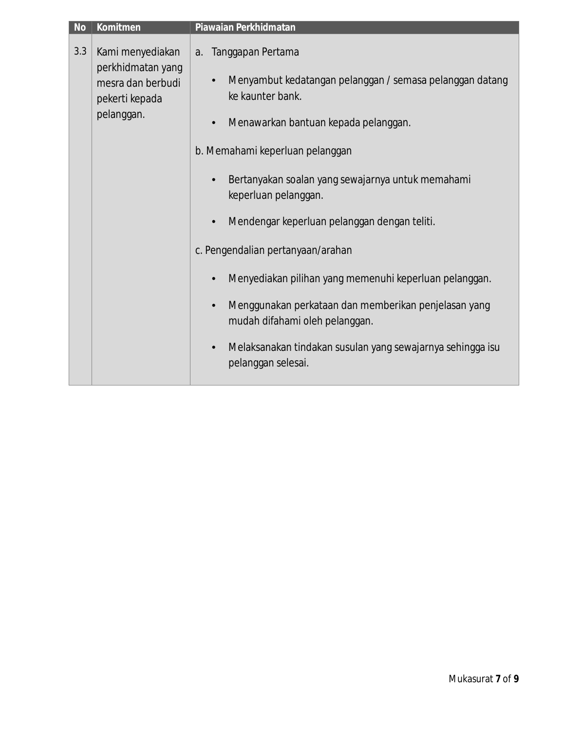| Kami menyediakan<br>Tanggapan Pertama<br>a.<br>perkhidmatan yang<br>Menyambut kedatangan pelanggan / semasa pelanggan datang<br>$\bullet$<br>mesra dan berbudi<br>ke kaunter bank.<br>Menawarkan bantuan kepada pelanggan.<br>$\bullet$                                                                                                                                                                                                                                 |
|-------------------------------------------------------------------------------------------------------------------------------------------------------------------------------------------------------------------------------------------------------------------------------------------------------------------------------------------------------------------------------------------------------------------------------------------------------------------------|
| b. Memahami keperluan pelanggan<br>Bertanyakan soalan yang sewajarnya untuk memahami<br>keperluan pelanggan.<br>Mendengar keperluan pelanggan dengan teliti.<br>$\bullet$<br>c. Pengendalian pertanyaan/arahan<br>Menyediakan pilihan yang memenuhi keperluan pelanggan.<br>$\bullet$<br>Menggunakan perkataan dan memberikan penjelasan yang<br>$\bullet$<br>mudah difahami oleh pelanggan.<br>Melaksanakan tindakan susulan yang sewajarnya sehingga isu<br>$\bullet$ |
|                                                                                                                                                                                                                                                                                                                                                                                                                                                                         |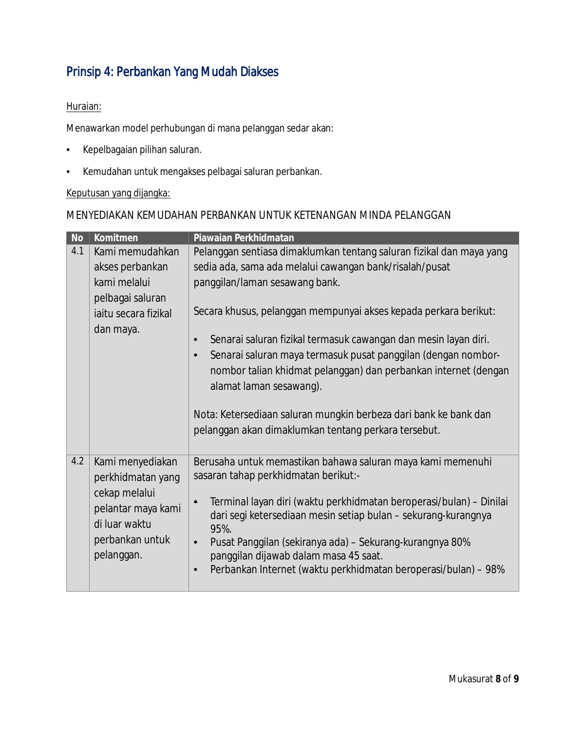## Prinsip 4: Perbankan Yang Mudah Diakses

### Huraian:

Menawarkan model perhubungan di mana pelanggan sedar akan:

- Kepelbagaian pilihan saluran.
- Kemudahan untuk mengakses pelbagai saluran perbankan.

### Keputusan yang dijangka:

### MENYEDIAKAN KEMUDAHAN PERBANKAN UNTUK KETENANGAN MINDA PELANGGAN

| <b>No</b> | Komitmen             | Piawaian Perkhidmatan                                                            |
|-----------|----------------------|----------------------------------------------------------------------------------|
| 4.1       | Kami memudahkan      | Pelanggan sentiasa dimaklumkan tentang saluran fizikal dan maya yang             |
|           | akses perbankan      | sedia ada, sama ada melalui cawangan bank/risalah/pusat                          |
|           | kami melalui         | panggilan/laman sesawang bank.                                                   |
|           | pelbagai saluran     |                                                                                  |
|           | jaitu secara fizikal | Secara khusus, pelanggan mempunyai akses kepada perkara berikut:                 |
|           | dan maya.            |                                                                                  |
|           |                      | Senarai saluran fizikal termasuk cawangan dan mesin layan diri.<br>$\bullet$     |
|           |                      | Senarai saluran maya termasuk pusat panggilan (dengan nombor-<br>$\bullet$       |
|           |                      | nombor talian khidmat pelanggan) dan perbankan internet (dengan                  |
|           |                      | alamat laman sesawang).                                                          |
|           |                      |                                                                                  |
|           |                      | Nota: Ketersediaan saluran mungkin berbeza dari bank ke bank dan                 |
|           |                      | pelanggan akan dimaklumkan tentang perkara tersebut.                             |
|           |                      |                                                                                  |
| 4.2       | Kami menyediakan     | Berusaha untuk memastikan bahawa saluran maya kami memenuhi                      |
|           | perkhidmatan yang    | sasaran tahap perkhidmatan berikut:-                                             |
|           | cekap melalui        |                                                                                  |
|           | pelantar maya kami   | Terminal layan diri (waktu perkhidmatan beroperasi/bulan) – Dinilai<br>$\bullet$ |
|           | di luar waktu        | dari segi ketersediaan mesin setiap bulan - sekurang-kurangnya<br>95%.           |
|           | perbankan untuk      | Pusat Panggilan (sekiranya ada) – Sekurang-kurangnya 80%<br>$\bullet$            |
|           | pelanggan.           | panggilan dijawab dalam masa 45 saat.                                            |
|           |                      | Perbankan Internet (waktu perkhidmatan beroperasi/bulan) – 98%<br>$\bullet$      |
|           |                      |                                                                                  |